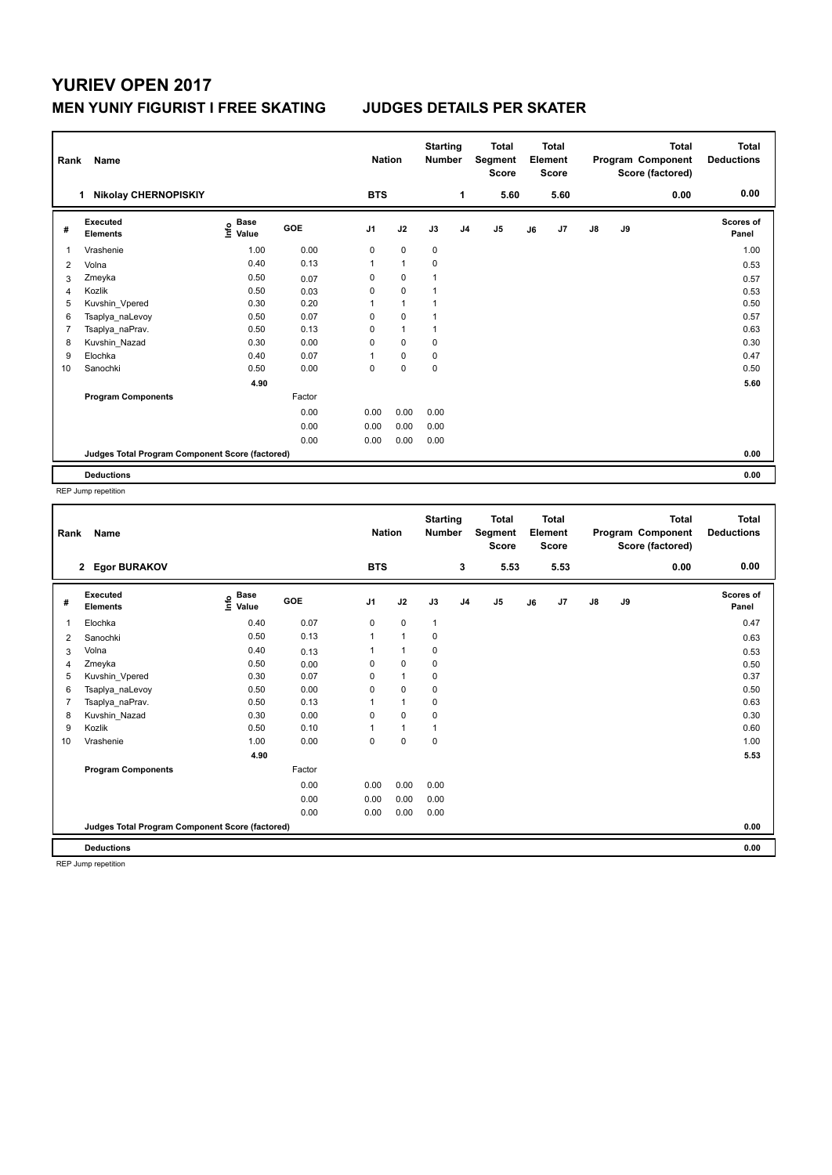## **YURIEV OPEN 2017 MEN YUNIY FIGURIST I FREE SKATING JUDGES DETAILS PER SKATER**

| Rank           | Name                                            |                                         |        | <b>Nation</b>  |                | <b>Starting</b><br><b>Number</b> |                | <b>Total</b><br>Segment<br><b>Score</b> |    | <b>Total</b><br>Element<br><b>Score</b> |               |    | <b>Total</b><br>Program Component<br>Score (factored) | <b>Total</b><br><b>Deductions</b> |
|----------------|-------------------------------------------------|-----------------------------------------|--------|----------------|----------------|----------------------------------|----------------|-----------------------------------------|----|-----------------------------------------|---------------|----|-------------------------------------------------------|-----------------------------------|
|                | <b>Nikolay CHERNOPISKIY</b><br>1                |                                         |        | <b>BTS</b>     |                |                                  | 1              | 5.60                                    |    | 5.60                                    |               |    | 0.00                                                  | 0.00                              |
| #              | Executed<br><b>Elements</b>                     | $\mathbf{e}$ Base<br>$\mathbf{e}$ Value | GOE    | J <sub>1</sub> | J2             | J3                               | J <sub>4</sub> | J <sub>5</sub>                          | J6 | J7                                      | $\mathsf{J}8$ | J9 |                                                       | <b>Scores of</b><br>Panel         |
| $\mathbf{1}$   | Vrashenie                                       | 1.00                                    | 0.00   | 0              | $\mathbf 0$    | $\pmb{0}$                        |                |                                         |    |                                         |               |    |                                                       | 1.00                              |
| 2              | Volna                                           | 0.40                                    | 0.13   | 1              | $\overline{1}$ | 0                                |                |                                         |    |                                         |               |    |                                                       | 0.53                              |
| 3              | Zmeyka                                          | 0.50                                    | 0.07   | 0              | $\mathbf 0$    | 1                                |                |                                         |    |                                         |               |    |                                                       | 0.57                              |
| 4              | Kozlik                                          | 0.50                                    | 0.03   | 0              | $\mathbf 0$    | 1                                |                |                                         |    |                                         |               |    |                                                       | 0.53                              |
| 5              | Kuvshin Vpered                                  | 0.30                                    | 0.20   |                | $\overline{1}$ | 1                                |                |                                         |    |                                         |               |    |                                                       | 0.50                              |
| 6              | Tsaplya naLevoy                                 | 0.50                                    | 0.07   | 0              | $\mathbf 0$    | 1                                |                |                                         |    |                                         |               |    |                                                       | 0.57                              |
| $\overline{7}$ | Tsaplya_naPrav.                                 | 0.50                                    | 0.13   | 0              | $\mathbf{1}$   |                                  |                |                                         |    |                                         |               |    |                                                       | 0.63                              |
| 8              | Kuvshin_Nazad                                   | 0.30                                    | 0.00   | 0              | $\mathbf 0$    | 0                                |                |                                         |    |                                         |               |    |                                                       | 0.30                              |
| 9              | Elochka                                         | 0.40                                    | 0.07   | 1              | $\mathbf 0$    | 0                                |                |                                         |    |                                         |               |    |                                                       | 0.47                              |
| 10             | Sanochki                                        | 0.50                                    | 0.00   | 0              | $\mathbf 0$    | 0                                |                |                                         |    |                                         |               |    |                                                       | 0.50                              |
|                |                                                 | 4.90                                    |        |                |                |                                  |                |                                         |    |                                         |               |    |                                                       | 5.60                              |
|                | <b>Program Components</b>                       |                                         | Factor |                |                |                                  |                |                                         |    |                                         |               |    |                                                       |                                   |
|                |                                                 |                                         | 0.00   | 0.00           | 0.00           | 0.00                             |                |                                         |    |                                         |               |    |                                                       |                                   |
|                |                                                 |                                         | 0.00   | 0.00           | 0.00           | 0.00                             |                |                                         |    |                                         |               |    |                                                       |                                   |
|                |                                                 |                                         | 0.00   | 0.00           | 0.00           | 0.00                             |                |                                         |    |                                         |               |    |                                                       |                                   |
|                | Judges Total Program Component Score (factored) |                                         |        |                |                |                                  |                |                                         |    |                                         |               |    |                                                       | 0.00                              |
|                | <b>Deductions</b>                               |                                         |        |                |                |                                  |                |                                         |    |                                         |               |    |                                                       | 0.00                              |

REP Jump repetition

| Rank | Name                                            |                           |            | <b>Nation</b>  |              | <b>Starting</b><br><b>Number</b> |                | <b>Total</b><br>Segment<br><b>Score</b> |    | <b>Total</b><br>Element<br><b>Score</b> |               |    | <b>Total</b><br>Program Component<br>Score (factored) | <b>Total</b><br><b>Deductions</b> |
|------|-------------------------------------------------|---------------------------|------------|----------------|--------------|----------------------------------|----------------|-----------------------------------------|----|-----------------------------------------|---------------|----|-------------------------------------------------------|-----------------------------------|
|      | $\overline{2}$<br><b>Egor BURAKOV</b>           |                           |            | <b>BTS</b>     |              |                                  | 3              | 5.53                                    |    | 5.53                                    |               |    | 0.00                                                  | 0.00                              |
| #    | Executed<br><b>Elements</b>                     | Base<br>o Base<br>⊆ Value | <b>GOE</b> | J <sub>1</sub> | J2           | J3                               | J <sub>4</sub> | J5                                      | J6 | J7                                      | $\mathsf{J}8$ | J9 |                                                       | Scores of<br>Panel                |
| 1    | Elochka                                         | 0.40                      | 0.07       | 0              | $\mathbf 0$  | $\mathbf{1}$                     |                |                                         |    |                                         |               |    |                                                       | 0.47                              |
| 2    | Sanochki                                        | 0.50                      | 0.13       | $\mathbf{1}$   | $\mathbf{1}$ | 0                                |                |                                         |    |                                         |               |    |                                                       | 0.63                              |
| 3    | Volna                                           | 0.40                      | 0.13       |                | $\mathbf{1}$ | $\mathbf 0$                      |                |                                         |    |                                         |               |    |                                                       | 0.53                              |
| 4    | Zmeyka                                          | 0.50                      | 0.00       | 0              | 0            | 0                                |                |                                         |    |                                         |               |    |                                                       | 0.50                              |
| 5    | Kuvshin_Vpered                                  | 0.30                      | 0.07       | 0              | $\mathbf{1}$ | $\mathbf 0$                      |                |                                         |    |                                         |               |    |                                                       | 0.37                              |
| 6    | Tsaplya naLevoy                                 | 0.50                      | 0.00       | 0              | $\mathbf 0$  | 0                                |                |                                         |    |                                         |               |    |                                                       | 0.50                              |
| 7    | Tsaplya naPrav.                                 | 0.50                      | 0.13       |                | $\mathbf{1}$ | $\mathbf 0$                      |                |                                         |    |                                         |               |    |                                                       | 0.63                              |
| 8    | Kuvshin_Nazad                                   | 0.30                      | 0.00       | 0              | $\mathbf 0$  | $\mathbf 0$                      |                |                                         |    |                                         |               |    |                                                       | 0.30                              |
| 9    | Kozlik                                          | 0.50                      | 0.10       |                | $\mathbf{1}$ | $\overline{1}$                   |                |                                         |    |                                         |               |    |                                                       | 0.60                              |
| 10   | Vrashenie                                       | 1.00                      | 0.00       | 0              | $\pmb{0}$    | $\mathbf 0$                      |                |                                         |    |                                         |               |    |                                                       | 1.00                              |
|      |                                                 | 4.90                      |            |                |              |                                  |                |                                         |    |                                         |               |    |                                                       | 5.53                              |
|      | <b>Program Components</b>                       |                           | Factor     |                |              |                                  |                |                                         |    |                                         |               |    |                                                       |                                   |
|      |                                                 |                           | 0.00       | 0.00           | 0.00         | 0.00                             |                |                                         |    |                                         |               |    |                                                       |                                   |
|      |                                                 |                           | 0.00       | 0.00           | 0.00         | 0.00                             |                |                                         |    |                                         |               |    |                                                       |                                   |
|      |                                                 |                           | 0.00       | 0.00           | 0.00         | 0.00                             |                |                                         |    |                                         |               |    |                                                       |                                   |
|      | Judges Total Program Component Score (factored) |                           |            |                |              |                                  |                |                                         |    |                                         |               |    |                                                       | 0.00                              |
|      | <b>Deductions</b>                               |                           |            |                |              |                                  |                |                                         |    |                                         |               |    |                                                       | 0.00                              |

REP Jump repetition